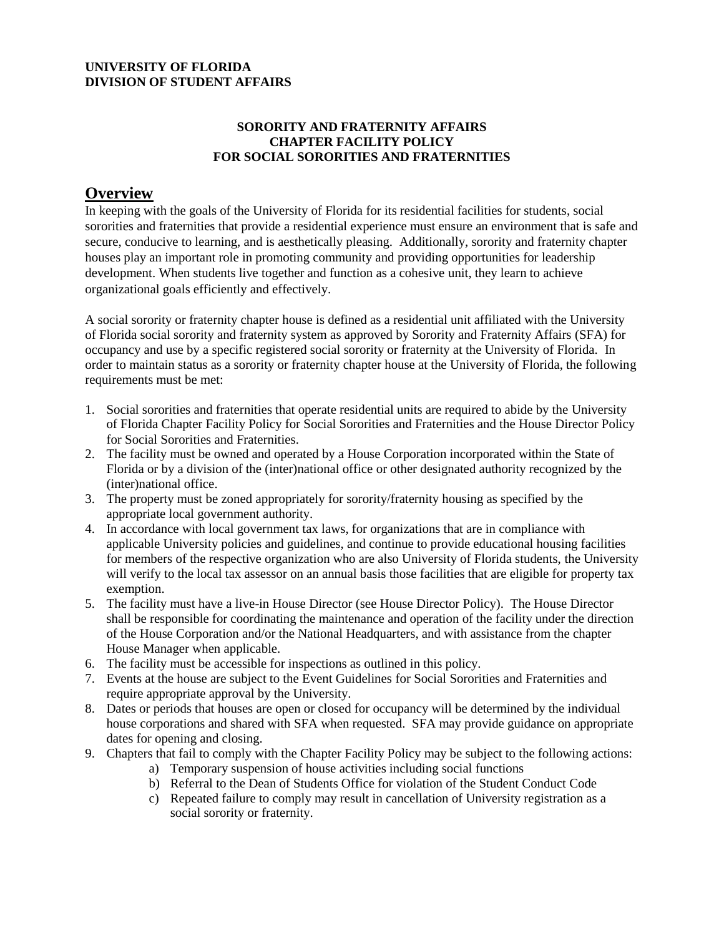#### **UNIVERSITY OF FLORIDA DIVISION OF STUDENT AFFAIRS**

#### **SORORITY AND FRATERNITY AFFAIRS CHAPTER FACILITY POLICY FOR SOCIAL SORORITIES AND FRATERNITIES**

### **Overview**

In keeping with the goals of the University of Florida for its residential facilities for students, social sororities and fraternities that provide a residential experience must ensure an environment that is safe and secure, conducive to learning, and is aesthetically pleasing. Additionally, sorority and fraternity chapter houses play an important role in promoting community and providing opportunities for leadership development. When students live together and function as a cohesive unit, they learn to achieve organizational goals efficiently and effectively.

A social sorority or fraternity chapter house is defined as a residential unit affiliated with the University of Florida social sorority and fraternity system as approved by Sorority and Fraternity Affairs (SFA) for occupancy and use by a specific registered social sorority or fraternity at the University of Florida. In order to maintain status as a sorority or fraternity chapter house at the University of Florida, the following requirements must be met:

- 1. Social sororities and fraternities that operate residential units are required to abide by the University of Florida Chapter Facility Policy for Social Sororities and Fraternities and the House Director Policy for Social Sororities and Fraternities.
- 2. The facility must be owned and operated by a House Corporation incorporated within the State of Florida or by a division of the (inter)national office or other designated authority recognized by the (inter)national office.
- 3. The property must be zoned appropriately for sorority/fraternity housing as specified by the appropriate local government authority.
- 4. In accordance with local government tax laws, for organizations that are in compliance with applicable University policies and guidelines, and continue to provide educational housing facilities for members of the respective organization who are also University of Florida students, the University will verify to the local tax assessor on an annual basis those facilities that are eligible for property tax exemption.
- 5. The facility must have a live-in House Director (see House Director Policy). The House Director shall be responsible for coordinating the maintenance and operation of the facility under the direction of the House Corporation and/or the National Headquarters, and with assistance from the chapter House Manager when applicable.
- 6. The facility must be accessible for inspections as outlined in this policy.
- 7. Events at the house are subject to the Event Guidelines for Social Sororities and Fraternities and require appropriate approval by the University.
- 8. Dates or periods that houses are open or closed for occupancy will be determined by the individual house corporations and shared with SFA when requested. SFA may provide guidance on appropriate dates for opening and closing.
- 9. Chapters that fail to comply with the Chapter Facility Policy may be subject to the following actions:
	- a) Temporary suspension of house activities including social functions
	- b) Referral to the Dean of Students Office for violation of the Student Conduct Code
	- c) Repeated failure to comply may result in cancellation of University registration as a social sorority or fraternity.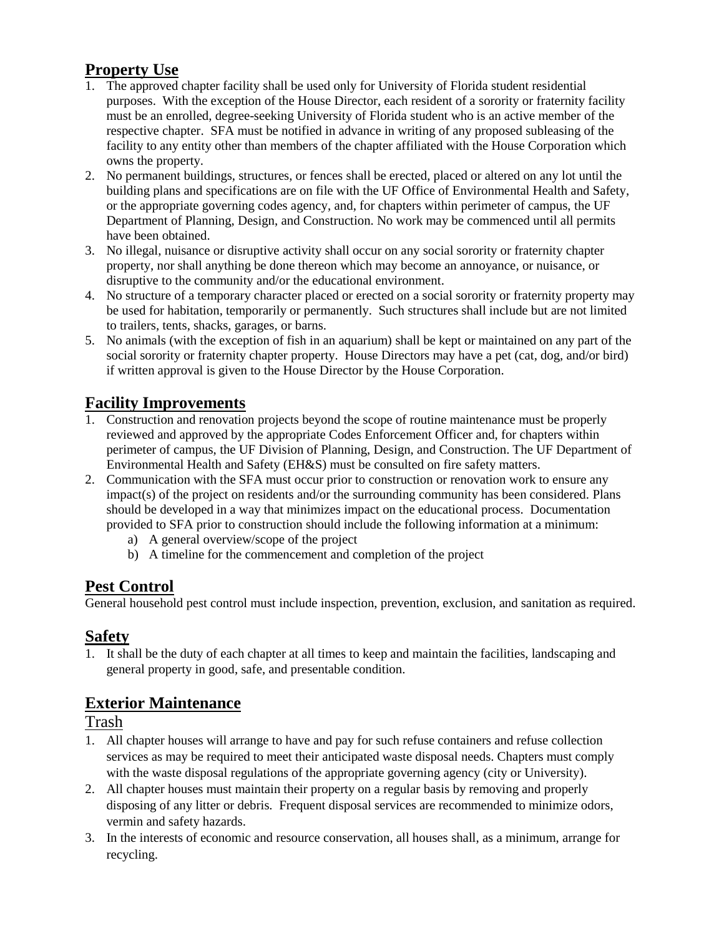# **Property Use**

- 1. The approved chapter facility shall be used only for University of Florida student residential purposes. With the exception of the House Director, each resident of a sorority or fraternity facility must be an enrolled, degree-seeking University of Florida student who is an active member of the respective chapter. SFA must be notified in advance in writing of any proposed subleasing of the facility to any entity other than members of the chapter affiliated with the House Corporation which owns the property.
- 2. No permanent buildings, structures, or fences shall be erected, placed or altered on any lot until the building plans and specifications are on file with the UF Office of Environmental Health and Safety, or the appropriate governing codes agency, and, for chapters within perimeter of campus, the UF Department of Planning, Design, and Construction. No work may be commenced until all permits have been obtained.
- 3. No illegal, nuisance or disruptive activity shall occur on any social sorority or fraternity chapter property, nor shall anything be done thereon which may become an annoyance, or nuisance, or disruptive to the community and/or the educational environment.
- 4. No structure of a temporary character placed or erected on a social sorority or fraternity property may be used for habitation, temporarily or permanently. Such structures shall include but are not limited to trailers, tents, shacks, garages, or barns.
- 5. No animals (with the exception of fish in an aquarium) shall be kept or maintained on any part of the social sorority or fraternity chapter property. House Directors may have a pet (cat, dog, and/or bird) if written approval is given to the House Director by the House Corporation.

# **Facility Improvements**

- 1. Construction and renovation projects beyond the scope of routine maintenance must be properly reviewed and approved by the appropriate Codes Enforcement Officer and, for chapters within perimeter of campus, the UF Division of Planning, Design, and Construction. The UF Department of Environmental Health and Safety (EH&S) must be consulted on fire safety matters.
- 2. Communication with the SFA must occur prior to construction or renovation work to ensure any impact(s) of the project on residents and/or the surrounding community has been considered. Plans should be developed in a way that minimizes impact on the educational process. Documentation provided to SFA prior to construction should include the following information at a minimum:
	- a) A general overview/scope of the project
	- b) A timeline for the commencement and completion of the project

## **Pest Control**

General household pest control must include inspection, prevention, exclusion, and sanitation as required.

## **Safety**

1. It shall be the duty of each chapter at all times to keep and maintain the facilities, landscaping and general property in good, safe, and presentable condition.

## **Exterior Maintenance**

Trash

- 1. All chapter houses will arrange to have and pay for such refuse containers and refuse collection services as may be required to meet their anticipated waste disposal needs. Chapters must comply with the waste disposal regulations of the appropriate governing agency (city or University).
- 2. All chapter houses must maintain their property on a regular basis by removing and properly disposing of any litter or debris. Frequent disposal services are recommended to minimize odors, vermin and safety hazards.
- 3. In the interests of economic and resource conservation, all houses shall, as a minimum, arrange for recycling.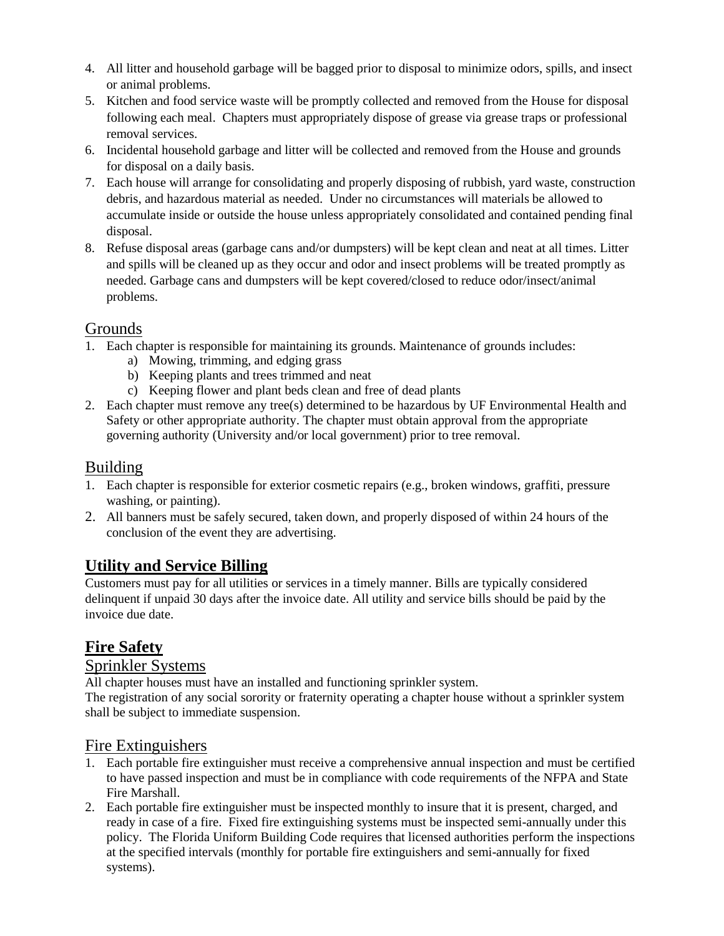- 4. All litter and household garbage will be bagged prior to disposal to minimize odors, spills, and insect or animal problems.
- 5. Kitchen and food service waste will be promptly collected and removed from the House for disposal following each meal. Chapters must appropriately dispose of grease via grease traps or professional removal services.
- 6. Incidental household garbage and litter will be collected and removed from the House and grounds for disposal on a daily basis.
- 7. Each house will arrange for consolidating and properly disposing of rubbish, yard waste, construction debris, and hazardous material as needed. Under no circumstances will materials be allowed to accumulate inside or outside the house unless appropriately consolidated and contained pending final disposal.
- 8. Refuse disposal areas (garbage cans and/or dumpsters) will be kept clean and neat at all times. Litter and spills will be cleaned up as they occur and odor and insect problems will be treated promptly as needed. Garbage cans and dumpsters will be kept covered/closed to reduce odor/insect/animal problems.

## Grounds

- 1. Each chapter is responsible for maintaining its grounds. Maintenance of grounds includes:
	- a) Mowing, trimming, and edging grass
	- b) Keeping plants and trees trimmed and neat
	- c) Keeping flower and plant beds clean and free of dead plants
- 2. Each chapter must remove any tree(s) determined to be hazardous by UF Environmental Health and Safety or other appropriate authority. The chapter must obtain approval from the appropriate governing authority (University and/or local government) prior to tree removal.

### Building

- 1. Each chapter is responsible for exterior cosmetic repairs (e.g., broken windows, graffiti, pressure washing, or painting).
- 2. All banners must be safely secured, taken down, and properly disposed of within 24 hours of the conclusion of the event they are advertising.

# **Utility and Service Billing**

Customers must pay for all utilities or services in a timely manner. Bills are typically considered delinquent if unpaid 30 days after the invoice date. All utility and service bills should be paid by the invoice due date.

# **Fire Safety**

## Sprinkler Systems

All chapter houses must have an installed and functioning sprinkler system. The registration of any social sorority or fraternity operating a chapter house without a sprinkler system shall be subject to immediate suspension.

## Fire Extinguishers

- 1. Each portable fire extinguisher must receive a comprehensive annual inspection and must be certified to have passed inspection and must be in compliance with code requirements of the NFPA and State Fire Marshall.
- 2. Each portable fire extinguisher must be inspected monthly to insure that it is present, charged, and ready in case of a fire. Fixed fire extinguishing systems must be inspected semi-annually under this policy. The Florida Uniform Building Code requires that licensed authorities perform the inspections at the specified intervals (monthly for portable fire extinguishers and semi-annually for fixed systems).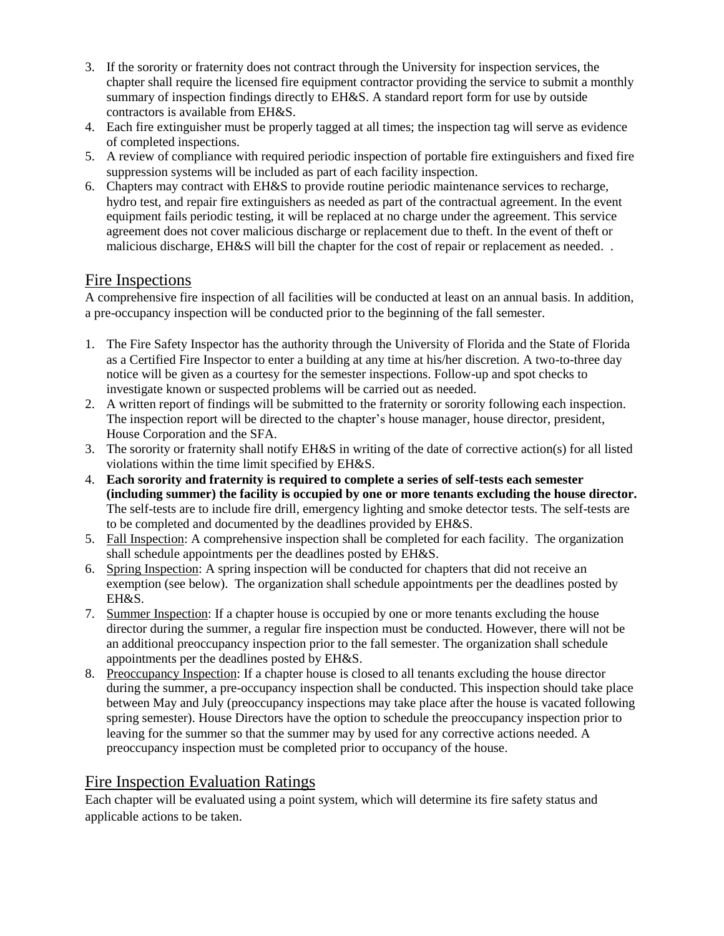- 3. If the sorority or fraternity does not contract through the University for inspection services, the chapter shall require the licensed fire equipment contractor providing the service to submit a monthly summary of inspection findings directly to EH&S. A standard report form for use by outside contractors is available from EH&S.
- 4. Each fire extinguisher must be properly tagged at all times; the inspection tag will serve as evidence of completed inspections.
- 5. A review of compliance with required periodic inspection of portable fire extinguishers and fixed fire suppression systems will be included as part of each facility inspection.
- 6. Chapters may contract with EH&S to provide routine periodic maintenance services to recharge, hydro test, and repair fire extinguishers as needed as part of the contractual agreement. In the event equipment fails periodic testing, it will be replaced at no charge under the agreement. This service agreement does not cover malicious discharge or replacement due to theft. In the event of theft or malicious discharge, EH&S will bill the chapter for the cost of repair or replacement as needed...

#### Fire Inspections

A comprehensive fire inspection of all facilities will be conducted at least on an annual basis. In addition, a pre-occupancy inspection will be conducted prior to the beginning of the fall semester.

- 1. The Fire Safety Inspector has the authority through the University of Florida and the State of Florida as a Certified Fire Inspector to enter a building at any time at his/her discretion. A two-to-three day notice will be given as a courtesy for the semester inspections. Follow-up and spot checks to investigate known or suspected problems will be carried out as needed.
- 2. A written report of findings will be submitted to the fraternity or sorority following each inspection. The inspection report will be directed to the chapter's house manager, house director, president, House Corporation and the SFA.
- 3. The sorority or fraternity shall notify EH&S in writing of the date of corrective action(s) for all listed violations within the time limit specified by EH&S.
- 4. **Each sorority and fraternity is required to complete a series of self-tests each semester (including summer) the facility is occupied by one or more tenants excluding the house director.** The self-tests are to include fire drill, emergency lighting and smoke detector tests. The self-tests are to be completed and documented by the deadlines provided by EH&S.
- 5. Fall Inspection: A comprehensive inspection shall be completed for each facility. The organization shall schedule appointments per the deadlines posted by EH&S.
- 6. Spring Inspection: A spring inspection will be conducted for chapters that did not receive an exemption (see below). The organization shall schedule appointments per the deadlines posted by EH&S.
- 7. Summer Inspection: If a chapter house is occupied by one or more tenants excluding the house director during the summer, a regular fire inspection must be conducted. However, there will not be an additional preoccupancy inspection prior to the fall semester. The organization shall schedule appointments per the deadlines posted by EH&S.
- 8. Preoccupancy Inspection: If a chapter house is closed to all tenants excluding the house director during the summer, a pre-occupancy inspection shall be conducted. This inspection should take place between May and July (preoccupancy inspections may take place after the house is vacated following spring semester). House Directors have the option to schedule the preoccupancy inspection prior to leaving for the summer so that the summer may by used for any corrective actions needed. A preoccupancy inspection must be completed prior to occupancy of the house.

#### Fire Inspection Evaluation Ratings

Each chapter will be evaluated using a point system, which will determine its fire safety status and applicable actions to be taken.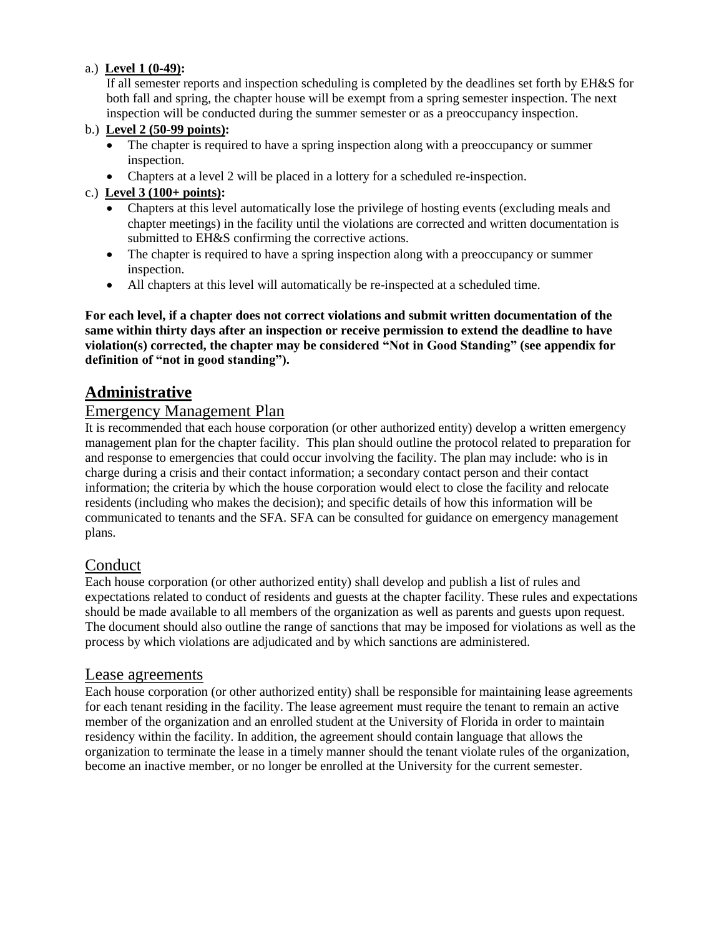#### a.) **Level 1 (0-49):**

If all semester reports and inspection scheduling is completed by the deadlines set forth by EH&S for both fall and spring, the chapter house will be exempt from a spring semester inspection. The next inspection will be conducted during the summer semester or as a preoccupancy inspection.

#### b.) **Level 2 (50-99 points):**

- The chapter is required to have a spring inspection along with a preoccupancy or summer inspection.
- Chapters at a level 2 will be placed in a lottery for a scheduled re-inspection.

#### c.) **Level 3 (100+ points):**

- Chapters at this level automatically lose the privilege of hosting events (excluding meals and chapter meetings) in the facility until the violations are corrected and written documentation is submitted to EH&S confirming the corrective actions.
- The chapter is required to have a spring inspection along with a preoccupancy or summer inspection.
- All chapters at this level will automatically be re-inspected at a scheduled time.

**For each level, if a chapter does not correct violations and submit written documentation of the same within thirty days after an inspection or receive permission to extend the deadline to have violation(s) corrected, the chapter may be considered "Not in Good Standing" (see appendix for definition of "not in good standing").**

### **Administrative**

### Emergency Management Plan

It is recommended that each house corporation (or other authorized entity) develop a written emergency management plan for the chapter facility. This plan should outline the protocol related to preparation for and response to emergencies that could occur involving the facility. The plan may include: who is in charge during a crisis and their contact information; a secondary contact person and their contact information; the criteria by which the house corporation would elect to close the facility and relocate residents (including who makes the decision); and specific details of how this information will be communicated to tenants and the SFA. SFA can be consulted for guidance on emergency management plans.

#### **Conduct**

Each house corporation (or other authorized entity) shall develop and publish a list of rules and expectations related to conduct of residents and guests at the chapter facility. These rules and expectations should be made available to all members of the organization as well as parents and guests upon request. The document should also outline the range of sanctions that may be imposed for violations as well as the process by which violations are adjudicated and by which sanctions are administered.

#### Lease agreements

Each house corporation (or other authorized entity) shall be responsible for maintaining lease agreements for each tenant residing in the facility. The lease agreement must require the tenant to remain an active member of the organization and an enrolled student at the University of Florida in order to maintain residency within the facility. In addition, the agreement should contain language that allows the organization to terminate the lease in a timely manner should the tenant violate rules of the organization, become an inactive member, or no longer be enrolled at the University for the current semester.